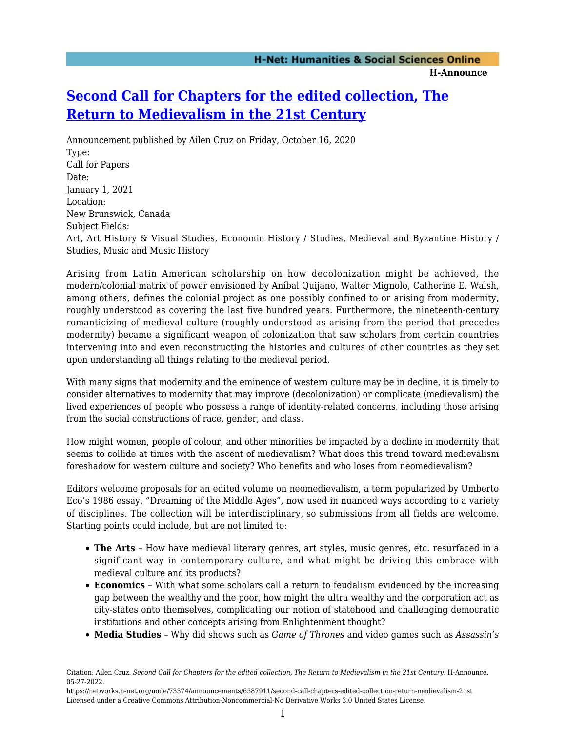## **[Second Call for Chapters for the edited collection, The](https://networks.h-net.org/node/73374/announcements/6587911/second-call-chapters-edited-collection-return-medievalism-21st) [Return to Medievalism in the 21st Century](https://networks.h-net.org/node/73374/announcements/6587911/second-call-chapters-edited-collection-return-medievalism-21st)**

Announcement published by Ailen Cruz on Friday, October 16, 2020 Type: Call for Papers Date: January 1, 2021 Location: New Brunswick, Canada Subject Fields: Art, Art History & Visual Studies, Economic History / Studies, Medieval and Byzantine History / Studies, Music and Music History

Arising from Latin American scholarship on how decolonization might be achieved, the modern/colonial matrix of power envisioned by Aníbal Quijano, Walter Mignolo, Catherine E. Walsh, among others, defines the colonial project as one possibly confined to or arising from modernity, roughly understood as covering the last five hundred years. Furthermore, the nineteenth-century romanticizing of medieval culture (roughly understood as arising from the period that precedes modernity) became a significant weapon of colonization that saw scholars from certain countries intervening into and even reconstructing the histories and cultures of other countries as they set upon understanding all things relating to the medieval period.

With many signs that modernity and the eminence of western culture may be in decline, it is timely to consider alternatives to modernity that may improve (decolonization) or complicate (medievalism) the lived experiences of people who possess a range of identity-related concerns, including those arising from the social constructions of race, gender, and class.

How might women, people of colour, and other minorities be impacted by a decline in modernity that seems to collide at times with the ascent of medievalism? What does this trend toward medievalism foreshadow for western culture and society? Who benefits and who loses from neomedievalism?

Editors welcome proposals for an edited volume on neomedievalism, a term popularized by Umberto Eco's 1986 essay, "Dreaming of the Middle Ages", now used in nuanced ways according to a variety of disciplines. The collection will be interdisciplinary, so submissions from all fields are welcome. Starting points could include, but are not limited to:

- **The Arts** How have medieval literary genres, art styles, music genres, etc. resurfaced in a significant way in contemporary culture, and what might be driving this embrace with medieval culture and its products?
- **Economics** With what some scholars call a return to feudalism evidenced by the increasing gap between the wealthy and the poor, how might the ultra wealthy and the corporation act as city-states onto themselves, complicating our notion of statehood and challenging democratic institutions and other concepts arising from Enlightenment thought?
- **Media Studies** Why did shows such as *Game of Thrones* and video games such as *Assassin's*

Citation: Ailen Cruz. *Second Call for Chapters for the edited collection, The Return to Medievalism in the 21st Century*. H-Announce. 05-27-2022.

https://networks.h-net.org/node/73374/announcements/6587911/second-call-chapters-edited-collection-return-medievalism-21st Licensed under a Creative Commons Attribution-Noncommercial-No Derivative Works 3.0 United States License.